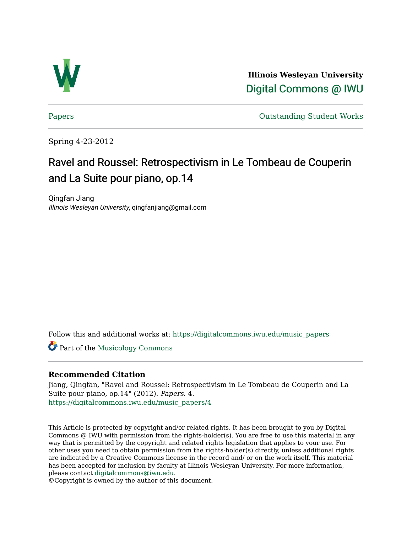

**Illinois Wesleyan University**  [Digital Commons @ IWU](https://digitalcommons.iwu.edu/) 

[Papers](https://digitalcommons.iwu.edu/music_papers) **Outstanding Student Works** 

Spring 4-23-2012

# Ravel and Roussel: Retrospectivism in Le Tombeau de Couperin and La Suite pour piano, op.14

Qingfan Jiang Illinois Wesleyan University, qingfanjiang@gmail.com

Follow this and additional works at: [https://digitalcommons.iwu.edu/music\\_papers](https://digitalcommons.iwu.edu/music_papers?utm_source=digitalcommons.iwu.edu%2Fmusic_papers%2F4&utm_medium=PDF&utm_campaign=PDFCoverPages) 

Part of the [Musicology Commons](http://network.bepress.com/hgg/discipline/521?utm_source=digitalcommons.iwu.edu%2Fmusic_papers%2F4&utm_medium=PDF&utm_campaign=PDFCoverPages) 

# **Recommended Citation**

Jiang, Qingfan, "Ravel and Roussel: Retrospectivism in Le Tombeau de Couperin and La Suite pour piano, op.14" (2012). Papers. 4. [https://digitalcommons.iwu.edu/music\\_papers/4](https://digitalcommons.iwu.edu/music_papers/4?utm_source=digitalcommons.iwu.edu%2Fmusic_papers%2F4&utm_medium=PDF&utm_campaign=PDFCoverPages) 

This Article is protected by copyright and/or related rights. It has been brought to you by Digital Commons @ IWU with permission from the rights-holder(s). You are free to use this material in any way that is permitted by the copyright and related rights legislation that applies to your use. For other uses you need to obtain permission from the rights-holder(s) directly, unless additional rights are indicated by a Creative Commons license in the record and/ or on the work itself. This material has been accepted for inclusion by faculty at Illinois Wesleyan University. For more information, please contact [digitalcommons@iwu.edu.](mailto:digitalcommons@iwu.edu)

©Copyright is owned by the author of this document.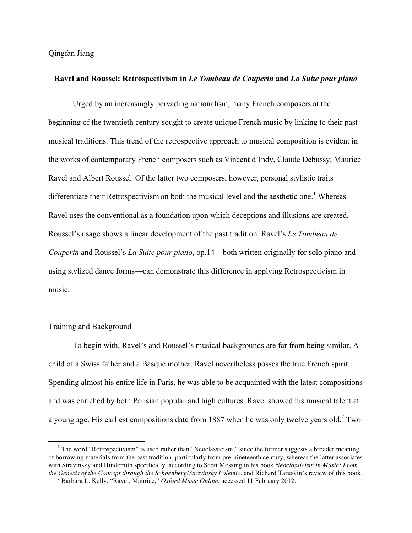#### **Ravel and Roussel: Retrospectivism in** *Le Tombeau de Couperin* **and** *La Suite pour piano*

 Urged by an increasingly pervading nationalism, many French composers at the beginning of the twentieth century sought to create unique French music by linking to their past musical traditions. This trend of the retrospective approach to musical composition is evident in the works of contemporary French composers such as Vincent d'Indy, Claude Debussy, Maurice Ravel and Albert Roussel. Of the latter two composers, however, personal stylistic traits differentiate their Retrospectivism on both the musical level and the aesthetic one.<sup>1</sup> Whereas Ravel uses the conventional as a foundation upon which deceptions and illusions are created, Roussel's usage shows a linear development of the past tradition. Ravel's *Le Tombeau de Couperin* and Roussel's *La Suite pour piano*, op.14—both written originally for solo piano and using stylized dance forms—can demonstrate this difference in applying Retrospectivism in music.

## Training and Background

<u> 1989 - Jan Stein Stein, fransk politiker (d. 1989)</u>

 To begin with, Ravel's and Roussel's musical backgrounds are far from being similar. A child of a Swiss father and a Basque mother, Ravel nevertheless posses the true French spirit. Spending almost his entire life in Paris, he was able to be acquainted with the latest compositions and was enriched by both Parisian popular and high cultures. Ravel showed his musical talent at a young age. His earliest compositions date from 1887 when he was only twelve years old.<sup>2</sup> Two

<sup>&</sup>lt;sup>1</sup> The word "Retrospectivism" is used rather than "Neoclassicism," since the former suggests a broader meaning of borrowing materials from the past tradition, particularly from pre-nineteenth century, whereas the latter associates with Stravinsky and Hindemith specifically, according to Scott Messing in his book *Neoclassicism in Music: From* the Genesis of the Concept through the Schoenberg/Stravinsky Polemic, and Richard Taruskin's review of this

<sup>&</sup>lt;sup>2</sup> Barbara L. Kelly, "Ravel, Maurice," *Oxford Music Online*, accessed 11 February 2012.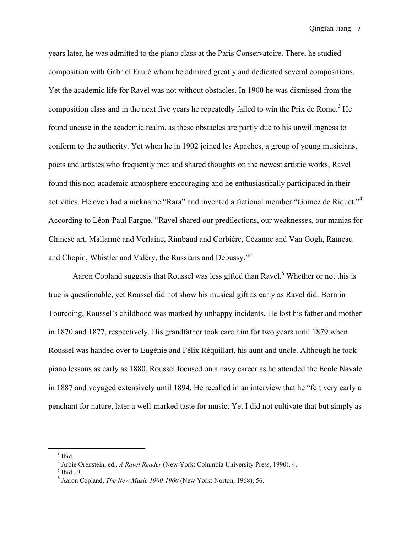years later, he was admitted to the piano class at the Paris Conservatoire. There, he studied composition with Gabriel Fauré whom he admired greatly and dedicated several compositions. Yet the academic life for Ravel was not without obstacles. In 1900 he was dismissed from the composition class and in the next five years he repeatedly failed to win the Prix de Rome.<sup>3</sup> He found unease in the academic realm, as these obstacles are partly due to his unwillingness to conform to the authority. Yet when he in 1902 joined les Apaches, a group of young musicians, poets and artistes who frequently met and shared thoughts on the newest artistic works, Ravel found this non-academic atmosphere encouraging and he enthusiastically participated in their activities. He even had a nickname "Rara" and invented a fictional member "Gomez de Riquet."<sup>4</sup> According to Léon-Paul Fargue, "Ravel shared our predilections, our weaknesses, our manias for Chinese art, Mallarmé and Verlaine, Rimbaud and Corbière, Cézanne and Van Gogh, Rameau and Chopin, Whistler and Valéry, the Russians and Debussy."<sup>5</sup>

Aaron Copland suggests that Roussel was less gifted than Ravel.<sup>6</sup> Whether or not this is true is questionable, yet Roussel did not show his musical gift as early as Ravel did. Born in Tourcoing, Roussel's childhood was marked by unhappy incidents. He lost his father and mother in 1870 and 1877, respectively. His grandfather took care him for two years until 1879 when Roussel was handed over to Eugénie and Félix Réquillart, his aunt and uncle. Although he took piano lessons as early as 1880, Roussel focused on a navy career as he attended the Ecole Navale in 1887 and voyaged extensively until 1894. He recalled in an interview that he "felt very early a penchant for nature, later a well-marked taste for music. Yet I did not cultivate that but simply as

<sup>&</sup>lt;sup>3</sup> Ibid.

<sup>4</sup> Arbie Orenstein, ed., *A Ravel Reader* (New York: Columbia University Press, 1990), 4.

 $<sup>5</sup>$  Ibid., 3.</sup>

<sup>6</sup> Aaron Copland, *The New Music 1900-1960* (New York: Norton, 1968), 56.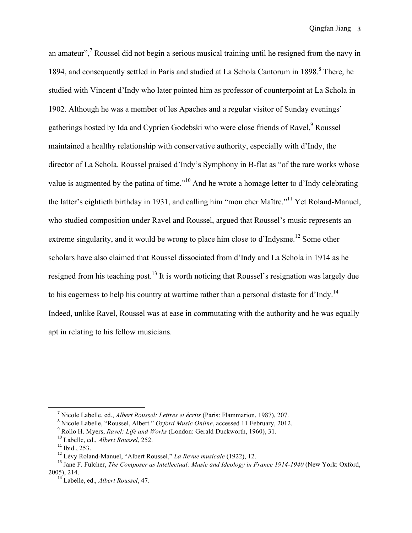an amateur",<sup>7</sup> Roussel did not begin a serious musical training until he resigned from the navy in 1894, and consequently settled in Paris and studied at La Schola Cantorum in 1898.<sup>8</sup> There, he studied with Vincent d'Indy who later pointed him as professor of counterpoint at La Schola in 1902. Although he was a member of les Apaches and a regular visitor of Sunday evenings' gatherings hosted by Ida and Cyprien Godebski who were close friends of Ravel,<sup>9</sup> Roussel maintained a healthy relationship with conservative authority, especially with d'Indy, the director of La Schola. Roussel praised d'Indy's Symphony in B-flat as "of the rare works whose value is augmented by the patina of time."<sup>10</sup> And he wrote a homage letter to d'Indy celebrating the latter's eightieth birthday in 1931, and calling him "mon cher Maître."11 Yet Roland-Manuel, who studied composition under Ravel and Roussel, argued that Roussel's music represents an extreme singularity, and it would be wrong to place him close to d'Indysme.<sup>12</sup> Some other scholars have also claimed that Roussel dissociated from d'Indy and La Schola in 1914 as he resigned from his teaching post.<sup>13</sup> It is worth noticing that Roussel's resignation was largely due to his eagerness to help his country at wartime rather than a personal distaste for d'Indy.<sup>14</sup> Indeed, unlike Ravel, Roussel was at ease in commutating with the authority and he was equally apt in relating to his fellow musicians.

 

<sup>7</sup> Nicole Labelle, ed., *Albert Roussel: Lettres et écrits* (Paris: Flammarion, 1987), 207.

<sup>8</sup> Nicole Labelle, "Roussel, Albert." *Oxford Music Online*, accessed 11 February, 2012.

<sup>9</sup> Rollo H. Myers, *Ravel: Life and Works* (London: Gerald Duckworth, 1960), 31.

<sup>10</sup> Labelle, ed., *Albert Roussel*, 252.

<sup>&</sup>lt;sup>12</sup> Lévy Roland-Manuel, "Albert Roussel," *La Revue musicale* (1922), 12.

<sup>&</sup>lt;sup>13</sup> Jane F. Fulcher, *The Composer as Intellectual: Music and Ideology in France 1914-1940* (New York: Oxford, 2005), 214. <sup>14</sup> Labelle, ed., *Albert Roussel*, 47.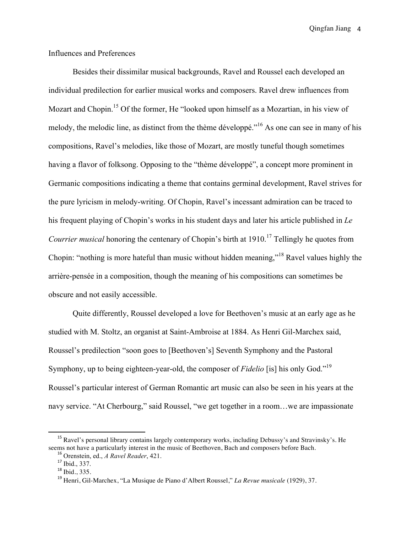# Influences and Preferences

 Besides their dissimilar musical backgrounds, Ravel and Roussel each developed an individual predilection for earlier musical works and composers. Ravel drew influences from Mozart and Chopin.<sup>15</sup> Of the former, He "looked upon himself as a Mozartian, in his view of melody, the melodic line, as distinct from the thème développé."<sup>16</sup> As one can see in many of his compositions, Ravel's melodies, like those of Mozart, are mostly tuneful though sometimes having a flavor of folksong. Opposing to the "thème développé", a concept more prominent in Germanic compositions indicating a theme that contains germinal development, Ravel strives for the pure lyricism in melody-writing. Of Chopin, Ravel's incessant admiration can be traced to his frequent playing of Chopin's works in his student days and later his article published in *Le Courrier musical* honoring the centenary of Chopin's birth at 1910.<sup>17</sup> Tellingly he quotes from Chopin: "nothing is more hateful than music without hidden meaning,"<sup>18</sup> Ravel values highly the arrière-pensée in a composition, though the meaning of his compositions can sometimes be obscure and not easily accessible.

 Quite differently, Roussel developed a love for Beethoven's music at an early age as he studied with M. Stoltz, an organist at Saint-Ambroise at 1884. As Henri Gil-Marchex said, Roussel's predilection "soon goes to [Beethoven's] Seventh Symphony and the Pastoral Symphony, up to being eighteen-year-old, the composer of *Fidelio* [is] his only God."<sup>19</sup> Roussel's particular interest of German Romantic art music can also be seen in his years at the navy service. "At Cherbourg," said Roussel, "we get together in a room…we are impassionate

<sup>&</sup>lt;sup>15</sup> Ravel's personal library contains largely contemporary works, including Debussy's and Stravinsky's. He seems not have a particularly interest in the music of Beethoven, Bach and composers before Bach.<br><sup>16</sup> Orenstein, ed., *A Ravel Reader*, 421.<br><sup>17</sup> Ibid., 337.<br><sup>18</sup> Ibid., 335.

<sup>18</sup> Ibid., 335. <sup>19</sup> Henri, Gil-Marchex, "La Musique de Piano d'Albert Roussel," *La Revue musicale* (1929), 37.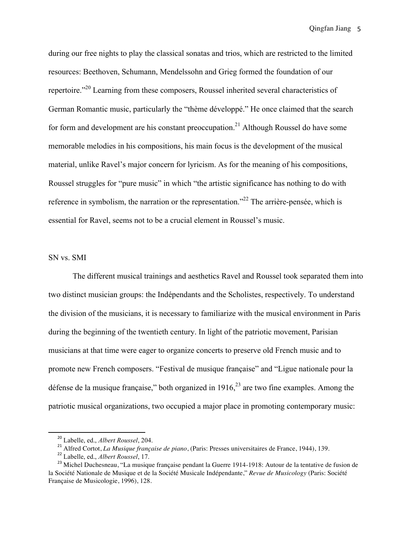during our free nights to play the classical sonatas and trios, which are restricted to the limited resources: Beethoven, Schumann, Mendelssohn and Grieg formed the foundation of our repertoire."20 Learning from these composers, Roussel inherited several characteristics of German Romantic music, particularly the "thème développé." He once claimed that the search for form and development are his constant preoccupation.<sup>21</sup> Although Roussel do have some memorable melodies in his compositions, his main focus is the development of the musical material, unlike Ravel's major concern for lyricism. As for the meaning of his compositions, Roussel struggles for "pure music" in which "the artistic significance has nothing to do with reference in symbolism, the narration or the representation."<sup>22</sup> The arrière-pensée, which is essential for Ravel, seems not to be a crucial element in Roussel's music.

#### SN vs. SMI

 The different musical trainings and aesthetics Ravel and Roussel took separated them into two distinct musician groups: the Indépendants and the Scholistes, respectively. To understand the division of the musicians, it is necessary to familiarize with the musical environment in Paris during the beginning of the twentieth century. In light of the patriotic movement, Parisian musicians at that time were eager to organize concerts to preserve old French music and to promote new French composers. "Festival de musique française" and "Ligue nationale pour la défense de la musique française," both organized in  $1916$ ,  $^{23}$  are two fine examples. Among the patriotic musical organizations, two occupied a major place in promoting contemporary music:

<sup>20</sup> Labelle, ed., *Albert Roussel*, 204.

<sup>21</sup> Alfred Cortot, *La Musique française de piano*, (Paris: Presses universitaires de France, 1944), 139. <sup>22</sup> Labelle, ed., *Albert Roussel*, 17.

<sup>&</sup>lt;sup>23</sup> Michel Duchesneau, "La musique française pendant la Guerre 1914-1918: Autour de la tentative de fusion de la Société Nationale de Musique et de la Société Musicale Indépendante," *Revue de Musicology* (Paris: Société Française de Musicologie, 1996), 128.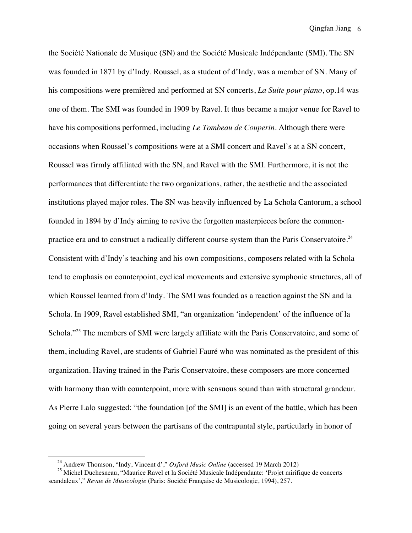the Société Nationale de Musique (SN) and the Société Musicale Indépendante (SMI). The SN was founded in 1871 by d'Indy. Roussel, as a student of d'Indy, was a member of SN. Many of his compositions were premièred and performed at SN concerts, *La Suite pour piano*, op.14 was one of them. The SMI was founded in 1909 by Ravel. It thus became a major venue for Ravel to have his compositions performed, including *Le Tombeau de Couperin*. Although there were occasions when Roussel's compositions were at a SMI concert and Ravel's at a SN concert, Roussel was firmly affiliated with the SN, and Ravel with the SMI. Furthermore, it is not the performances that differentiate the two organizations, rather, the aesthetic and the associated institutions played major roles. The SN was heavily influenced by La Schola Cantorum, a school founded in 1894 by d'Indy aiming to revive the forgotten masterpieces before the commonpractice era and to construct a radically different course system than the Paris Conservatoire.<sup>24</sup> Consistent with d'Indy's teaching and his own compositions, composers related with la Schola tend to emphasis on counterpoint, cyclical movements and extensive symphonic structures, all of which Roussel learned from d'Indy. The SMI was founded as a reaction against the SN and la Schola. In 1909, Ravel established SMI, "an organization 'independent' of the influence of la Schola."<sup>25</sup> The members of SMI were largely affiliate with the Paris Conservatoire, and some of them, including Ravel, are students of Gabriel Fauré who was nominated as the president of this organization. Having trained in the Paris Conservatoire, these composers are more concerned with harmony than with counterpoint, more with sensuous sound than with structural grandeur. As Pierre Lalo suggested: "the foundation [of the SMI] is an event of the battle, which has been going on several years between the partisans of the contrapuntal style, particularly in honor of

<sup>&</sup>lt;sup>24</sup> Andrew Thomson, "Indy, Vincent d'," *Oxford Music Online* (accessed 19 March 2012)<br><sup>25</sup> Michel Duchesneau, "Maurice Ravel et la Société Musicale Indépendante: 'Projet mirifique de concerts scandaleux'," *Revue de Musicologie* (Paris: Société Française de Musicologie, 1994), 257.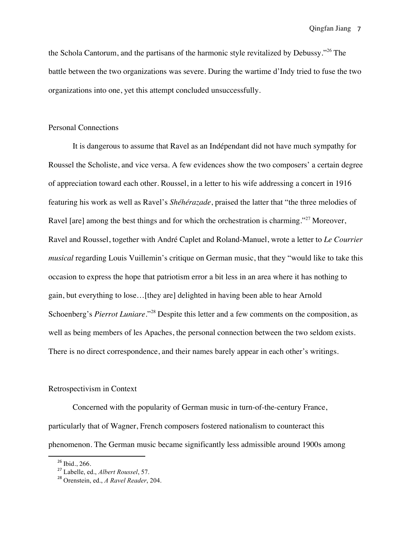the Schola Cantorum, and the partisans of the harmonic style revitalized by Debussy."<sup>26</sup> The battle between the two organizations was severe. During the wartime d'Indy tried to fuse the two organizations into one, yet this attempt concluded unsuccessfully.

#### Personal Connections

 It is dangerous to assume that Ravel as an Indépendant did not have much sympathy for Roussel the Scholiste, and vice versa. A few evidences show the two composers' a certain degree of appreciation toward each other. Roussel, in a letter to his wife addressing a concert in 1916 featuring his work as well as Ravel's *Shéhérazade*, praised the latter that "the three melodies of Ravel [are] among the best things and for which the orchestration is charming."<sup>27</sup> Moreover, Ravel and Roussel, together with André Caplet and Roland-Manuel, wrote a letter to *Le Courrier musical* regarding Louis Vuillemin's critique on German music, that they "would like to take this occasion to express the hope that patriotism error a bit less in an area where it has nothing to gain, but everything to lose…[they are] delighted in having been able to hear Arnold Schoenberg's *Pierrot Luniare*."<sup>28</sup> Despite this letter and a few comments on the composition, as well as being members of les Apaches, the personal connection between the two seldom exists. There is no direct correspondence, and their names barely appear in each other's writings.

# Retrospectivism in Context

 Concerned with the popularity of German music in turn-of-the-century France, particularly that of Wagner, French composers fostered nationalism to counteract this phenomenon. The German music became significantly less admissible around 1900s among

<sup>&</sup>lt;sup>26</sup> Ibid., 266.<br><sup>27</sup> Labelle, ed., *Albert Roussel*, 57.

<sup>28</sup> Orenstein, ed., *A Ravel Reader*, 204.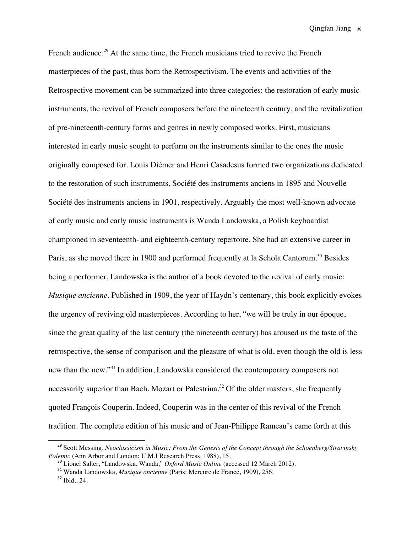French audience.<sup>29</sup> At the same time, the French musicians tried to revive the French masterpieces of the past, thus born the Retrospectivism. The events and activities of the Retrospective movement can be summarized into three categories: the restoration of early music instruments, the revival of French composers before the nineteenth century, and the revitalization of pre-nineteenth-century forms and genres in newly composed works. First, musicians interested in early music sought to perform on the instruments similar to the ones the music originally composed for. Louis Diémer and Henri Casadesus formed two organizations dedicated to the restoration of such instruments, Société des instruments anciens in 1895 and Nouvelle Société des instruments anciens in 1901, respectively. Arguably the most well-known advocate of early music and early music instruments is Wanda Landowska, a Polish keyboardist championed in seventeenth- and eighteenth-century repertoire. She had an extensive career in Paris, as she moved there in 1900 and performed frequently at la Schola Cantorum.<sup>30</sup> Besides being a performer, Landowska is the author of a book devoted to the revival of early music: *Musique ancienne*. Published in 1909, the year of Haydn's centenary, this book explicitly evokes the urgency of reviving old masterpieces. According to her, "we will be truly in our époque, since the great quality of the last century (the nineteenth century) has aroused us the taste of the retrospective, the sense of comparison and the pleasure of what is old, even though the old is less new than the new."<sup>31</sup> In addition, Landowska considered the contemporary composers not necessarily superior than Bach, Mozart or Palestrina.<sup>32</sup> Of the older masters, she frequently quoted François Couperin. Indeed, Couperin was in the center of this revival of the French tradition. The complete edition of his music and of Jean-Philippe Rameau's came forth at this

<sup>&</sup>lt;sup>29</sup> Scott Messing, *Neoclassicism in Music: From the Genesis of the Concept through the Schoenberg/Stravinsky Polemic (Ann Arbor and London: U.M.I Research Press, 1988), 15.* 

<sup>&</sup>lt;sup>30</sup> Lionel Salter, "Landowska, Wanda," Oxford Music Online (accessed 12 March 2012).<br><sup>31</sup> Wanda Landowska, *Musique ancienne* (Paris: Mercure de France, 1909), 256.<br><sup>32</sup> Ibid., 24.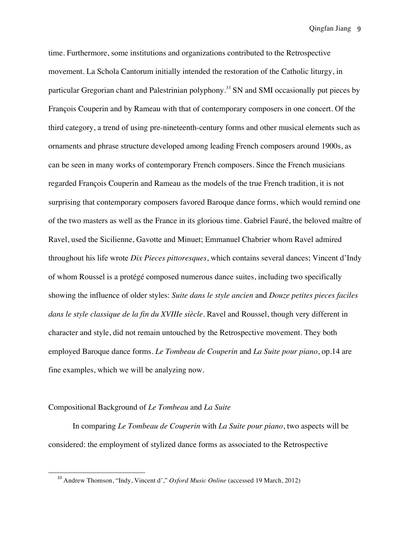time. Furthermore, some institutions and organizations contributed to the Retrospective movement. La Schola Cantorum initially intended the restoration of the Catholic liturgy, in particular Gregorian chant and Palestrinian polyphony.<sup>33</sup> SN and SMI occasionally put pieces by François Couperin and by Rameau with that of contemporary composers in one concert. Of the third category, a trend of using pre-nineteenth-century forms and other musical elements such as ornaments and phrase structure developed among leading French composers around 1900s, as can be seen in many works of contemporary French composers. Since the French musicians regarded François Couperin and Rameau as the models of the true French tradition, it is not surprising that contemporary composers favored Baroque dance forms, which would remind one of the two masters as well as the France in its glorious time. Gabriel Fauré, the beloved maître of Ravel, used the Sicilienne, Gavotte and Minuet; Emmanuel Chabrier whom Ravel admired throughout his life wrote *Dix Pieces pittoresques*, which contains several dances; Vincent d'Indy of whom Roussel is a protégé composed numerous dance suites, including two specifically showing the influence of older styles: *Suite dans le style ancien* and *Douze petites pieces faciles dans le style classique de la fin du XVIIIe siècle*. Ravel and Roussel, though very different in character and style, did not remain untouched by the Retrospective movement. They both employed Baroque dance forms. *Le Tombeau de Couperin* and *La Suite pour piano*, op.14 are fine examples, which we will be analyzing now.

## Compositional Background of *Le Tombeau* and *La Suite*

<u> 1989 - Jan Stein Stein, fransk politiker (d. 1989)</u>

 In comparing *Le Tombeau de Couperin* with *La Suite pour piano*, two aspects will be considered: the employment of stylized dance forms as associated to the Retrospective

<sup>33</sup> Andrew Thomson, "Indy, Vincent d'," *Oxford Music Online* (accessed 19 March, 2012)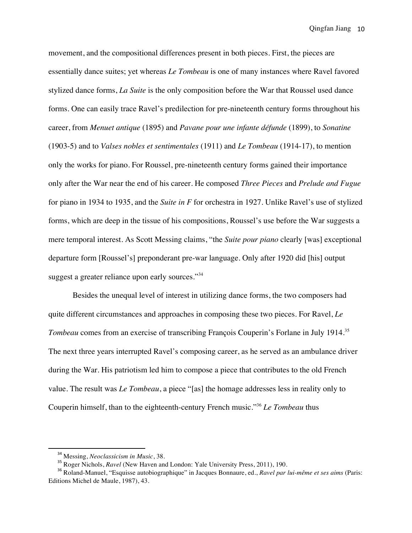movement, and the compositional differences present in both pieces. First, the pieces are essentially dance suites; yet whereas *Le Tombeau* is one of many instances where Ravel favored stylized dance forms, *La Suite* is the only composition before the War that Roussel used dance forms. One can easily trace Ravel's predilection for pre-nineteenth century forms throughout his career, from *Menuet antique* (1895) and *Pavane pour une infante défunde* (1899), to *Sonatine* (1903-5) and to *Valses nobles et sentimentales* (1911) and *Le Tombeau* (1914-17), to mention only the works for piano. For Roussel, pre-nineteenth century forms gained their importance only after the War near the end of his career. He composed *Three Pieces* and *Prelude and Fugue* for piano in 1934 to 1935, and the *Suite in F* for orchestra in 1927. Unlike Ravel's use of stylized forms, which are deep in the tissue of his compositions, Roussel's use before the War suggests a mere temporal interest. As Scott Messing claims, "the *Suite pour piano* clearly [was] exceptional departure form [Roussel's] preponderant pre-war language. Only after 1920 did [his] output suggest a greater reliance upon early sources."<sup>34</sup>

 Besides the unequal level of interest in utilizing dance forms, the two composers had quite different circumstances and approaches in composing these two pieces. For Ravel, *Le Tombeau* comes from an exercise of transcribing François Couperin's Forlane in July 1914.<sup>35</sup> The next three years interrupted Ravel's composing career, as he served as an ambulance driver during the War. His patriotism led him to compose a piece that contributes to the old French value. The result was *Le Tombeau*, a piece "[as] the homage addresses less in reality only to Couperin himself, than to the eighteenth-century French music."36 *Le Tombeau* thus

<sup>&</sup>lt;sup>34</sup> Messing, *Neoclassicism in Music*, 38.<br><sup>35</sup> Roger Nichols, *Ravel* (New Haven and London: Yale University Press, 2011), 190.<br><sup>36</sup> Roland-Manuel, "Esquisse autobiographique" in Jacques Bonnaure, ed., *Ravel par lui-mêm* Editions Michel de Maule, 1987), 43.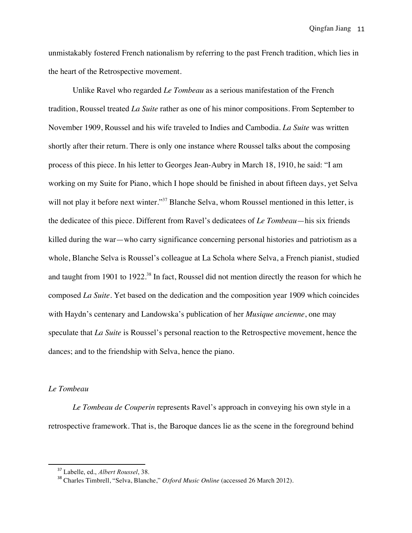unmistakably fostered French nationalism by referring to the past French tradition, which lies in the heart of the Retrospective movement.

 Unlike Ravel who regarded *Le Tombeau* as a serious manifestation of the French tradition, Roussel treated *La Suite* rather as one of his minor compositions. From September to November 1909, Roussel and his wife traveled to Indies and Cambodia. *La Suite* was written shortly after their return. There is only one instance where Roussel talks about the composing process of this piece. In his letter to Georges Jean-Aubry in March 18, 1910, he said: "I am working on my Suite for Piano, which I hope should be finished in about fifteen days, yet Selva will not play it before next winter."<sup>37</sup> Blanche Selva, whom Roussel mentioned in this letter, is the dedicatee of this piece. Different from Ravel's dedicatees of *Le Tombeau*—his six friends killed during the war—who carry significance concerning personal histories and patriotism as a whole, Blanche Selva is Roussel's colleague at La Schola where Selva, a French pianist, studied and taught from 1901 to 1922.<sup>38</sup> In fact, Roussel did not mention directly the reason for which he composed *La Suite*. Yet based on the dedication and the composition year 1909 which coincides with Haydn's centenary and Landowska's publication of her *Musique ancienne*, one may speculate that *La Suite* is Roussel's personal reaction to the Retrospective movement, hence the dances; and to the friendship with Selva, hence the piano.

# *Le Tombeau*

 *Le Tombeau de Couperin* represents Ravel's approach in conveying his own style in a retrospective framework. That is, the Baroque dances lie as the scene in the foreground behind

<sup>37</sup> Labelle, ed., *Albert Roussel*, 38.

<sup>38</sup> Charles Timbrell, "Selva, Blanche," *Oxford Music Online* (accessed 26 March 2012).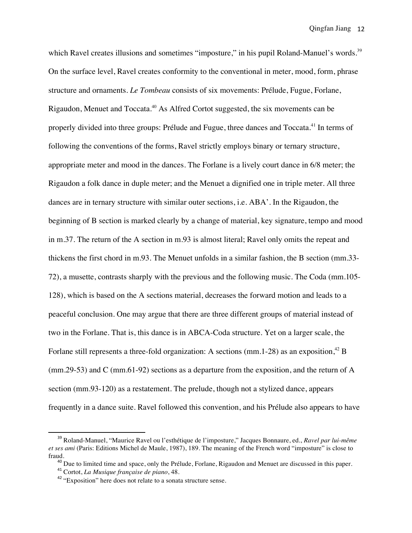which Ravel creates illusions and sometimes "imposture," in his pupil Roland-Manuel's words.<sup>39</sup> On the surface level, Ravel creates conformity to the conventional in meter, mood, form, phrase structure and ornaments. *Le Tombeau* consists of six movements: Prélude, Fugue, Forlane, Rigaudon, Menuet and Toccata.<sup>40</sup> As Alfred Cortot suggested, the six movements can be properly divided into three groups: Prélude and Fugue, three dances and Toccata.<sup>41</sup> In terms of following the conventions of the forms, Ravel strictly employs binary or ternary structure, appropriate meter and mood in the dances. The Forlane is a lively court dance in 6/8 meter; the Rigaudon a folk dance in duple meter; and the Menuet a dignified one in triple meter. All three dances are in ternary structure with similar outer sections, i.e. ABA'. In the Rigaudon, the beginning of B section is marked clearly by a change of material, key signature, tempo and mood in m.37. The return of the A section in m.93 is almost literal; Ravel only omits the repeat and thickens the first chord in m.93. The Menuet unfolds in a similar fashion, the B section (mm.33- 72), a musette, contrasts sharply with the previous and the following music. The Coda (mm.105- 128), which is based on the A sections material, decreases the forward motion and leads to a peaceful conclusion. One may argue that there are three different groups of material instead of two in the Forlane. That is, this dance is in ABCA-Coda structure. Yet on a larger scale, the Forlane still represents a three-fold organization: A sections (mm.1-28) as an exposition,  $42$  B (mm.29-53) and C (mm.61-92) sections as a departure from the exposition, and the return of A section (mm.93-120) as a restatement. The prelude, though not a stylized dance, appears frequently in a dance suite. Ravel followed this convention, and his Prélude also appears to have

<sup>39</sup> Roland-Manuel, "Maurice Ravel ou l'esthétique de l'imposture," Jacques Bonnaure, ed., *Ravel par lui-même et ses ami* (Paris: Editions Michel de Maule, 1987), 189. The meaning of the French word "imposture" is close to

fraud.<br>
<sup>40</sup> Due to limited time and space, only the Prélude, Forlane, Rigaudon and Menuet are discussed in this paper.<br>
<sup>41</sup> Cortot, *La Musique française de piano*, 48.<br>
<sup>42</sup> "Exposition" here does not relate to a sonat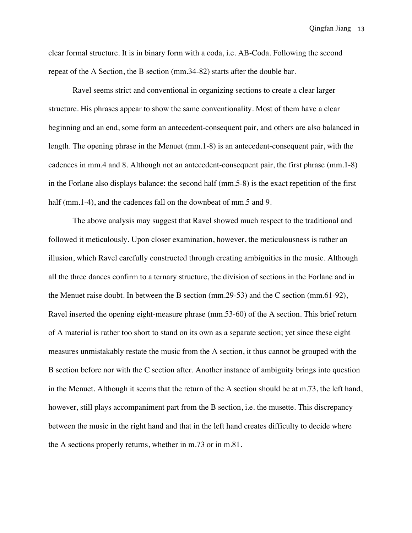clear formal structure. It is in binary form with a coda, i.e. AB-Coda. Following the second repeat of the A Section, the B section (mm.34-82) starts after the double bar.

 Ravel seems strict and conventional in organizing sections to create a clear larger structure. His phrases appear to show the same conventionality. Most of them have a clear beginning and an end, some form an antecedent-consequent pair, and others are also balanced in length. The opening phrase in the Menuet (mm.1-8) is an antecedent-consequent pair, with the cadences in mm.4 and 8. Although not an antecedent-consequent pair, the first phrase (mm.1-8) in the Forlane also displays balance: the second half (mm.5-8) is the exact repetition of the first half (mm.1-4), and the cadences fall on the downbeat of mm.5 and 9.

 The above analysis may suggest that Ravel showed much respect to the traditional and followed it meticulously. Upon closer examination, however, the meticulousness is rather an illusion, which Ravel carefully constructed through creating ambiguities in the music. Although all the three dances confirm to a ternary structure, the division of sections in the Forlane and in the Menuet raise doubt. In between the B section (mm.29-53) and the C section (mm.61-92), Ravel inserted the opening eight-measure phrase (mm.53-60) of the A section. This brief return of A material is rather too short to stand on its own as a separate section; yet since these eight measures unmistakably restate the music from the A section, it thus cannot be grouped with the B section before nor with the C section after. Another instance of ambiguity brings into question in the Menuet. Although it seems that the return of the A section should be at m.73, the left hand, however, still plays accompaniment part from the B section, *i.e.* the musette. This discrepancy between the music in the right hand and that in the left hand creates difficulty to decide where the A sections properly returns, whether in m.73 or in m.81.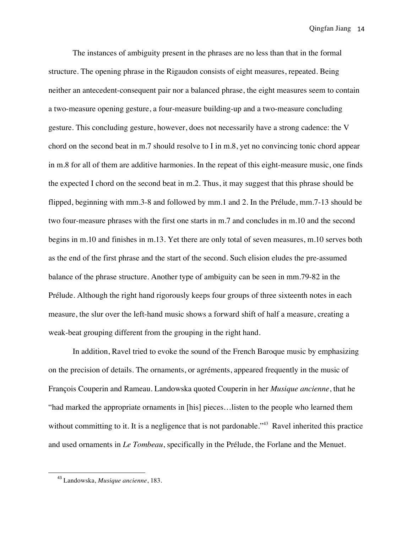The instances of ambiguity present in the phrases are no less than that in the formal structure. The opening phrase in the Rigaudon consists of eight measures, repeated. Being neither an antecedent-consequent pair nor a balanced phrase, the eight measures seem to contain a two-measure opening gesture, a four-measure building-up and a two-measure concluding gesture. This concluding gesture, however, does not necessarily have a strong cadence: the V chord on the second beat in m.7 should resolve to I in m.8, yet no convincing tonic chord appear in m.8 for all of them are additive harmonies. In the repeat of this eight-measure music, one finds the expected I chord on the second beat in m.2. Thus, it may suggest that this phrase should be flipped, beginning with mm.3-8 and followed by mm.1 and 2. In the Prélude, mm.7-13 should be two four-measure phrases with the first one starts in m.7 and concludes in m.10 and the second begins in m.10 and finishes in m.13. Yet there are only total of seven measures, m.10 serves both as the end of the first phrase and the start of the second. Such elision eludes the pre-assumed balance of the phrase structure. Another type of ambiguity can be seen in mm.79-82 in the Prélude. Although the right hand rigorously keeps four groups of three sixteenth notes in each measure, the slur over the left-hand music shows a forward shift of half a measure, creating a weak-beat grouping different from the grouping in the right hand.

 In addition, Ravel tried to evoke the sound of the French Baroque music by emphasizing on the precision of details. The ornaments, or agréments, appeared frequently in the music of François Couperin and Rameau. Landowska quoted Couperin in her *Musique ancienne*, that he "had marked the appropriate ornaments in [his] pieces…listen to the people who learned them without committing to it. It is a negligence that is not pardonable."<sup>43</sup> Ravel inherited this practice and used ornaments in *Le Tombeau*, specifically in the Prélude, the Forlane and the Menuet.

<sup>43</sup> Landowska, *Musique ancienne*, 183.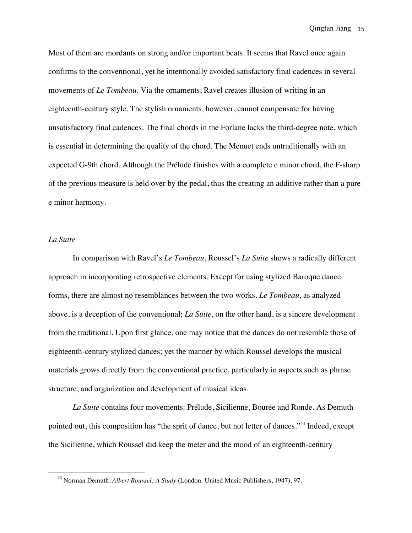Most of them are mordants on strong and/or important beats. It seems that Ravel once again confirms to the conventional, yet he intentionally avoided satisfactory final cadences in several movements of *Le Tombeau*. Via the ornaments, Ravel creates illusion of writing in an eighteenth-century style. The stylish ornaments, however, cannot compensate for having unsatisfactory final cadences. The final chords in the Forlane lacks the third-degree note, which is essential in determining the quality of the chord. The Menuet ends untraditionally with an expected G-9th chord. Although the Prélude finishes with a complete e minor chord, the F-sharp of the previous measure is held over by the pedal, thus the creating an additive rather than a pure e minor harmony.

#### *La Suite*

<u> 1989 - Jan Stein Stein, fransk politiker (d. 1989)</u>

 In comparison with Ravel's *Le Tombeau*, Roussel's *La Suite* shows a radically different approach in incorporating retrospective elements. Except for using stylized Baroque dance forms, there are almost no resemblances between the two works. *Le Tombeau*, as analyzed above, is a deception of the conventional; *La Suite*, on the other hand, is a sincere development from the traditional. Upon first glance, one may notice that the dances do not resemble those of eighteenth-century stylized dances; yet the manner by which Roussel develops the musical materials grows directly from the conventional practice, particularly in aspects such as phrase structure, and organization and development of musical ideas.

 *La Suite* contains four movements: Prélude, Sicilienne, Bourée and Ronde. As Demuth pointed out, this composition has "the sprit of dance, but not letter of dances."<sup>44</sup> Indeed, except the Sicilienne, which Roussel did keep the meter and the mood of an eighteenth-century

<sup>44</sup> Norman Demuth, *Albert Roussel: A Study* (London: United Music Publishers, 1947), 97.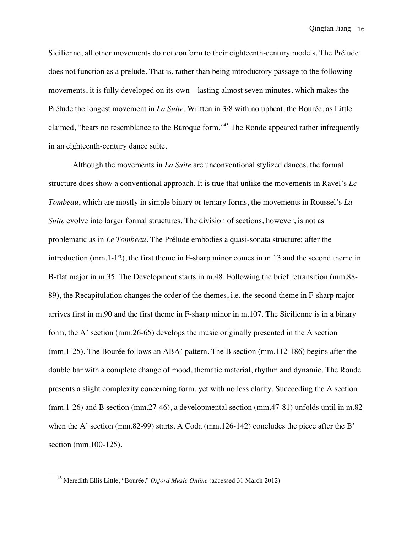Sicilienne, all other movements do not conform to their eighteenth-century models. The Prélude does not function as a prelude. That is, rather than being introductory passage to the following movements, it is fully developed on its own—lasting almost seven minutes, which makes the Prélude the longest movement in *La Suite*. Written in 3/8 with no upbeat, the Bourée, as Little claimed, "bears no resemblance to the Baroque form."45 The Ronde appeared rather infrequently in an eighteenth-century dance suite.

 Although the movements in *La Suite* are unconventional stylized dances, the formal structure does show a conventional approach. It is true that unlike the movements in Ravel's *Le Tombeau*, which are mostly in simple binary or ternary forms, the movements in Roussel's *La Suite* evolve into larger formal structures. The division of sections, however, is not as problematic as in *Le Tombeau*. The Prélude embodies a quasi-sonata structure: after the introduction (mm.1-12), the first theme in F-sharp minor comes in m.13 and the second theme in B-flat major in m.35. The Development starts in m.48. Following the brief retransition (mm.88- 89), the Recapitulation changes the order of the themes, i.e. the second theme in F-sharp major arrives first in m.90 and the first theme in F-sharp minor in m.107. The Sicilienne is in a binary form, the A' section (mm.26-65) develops the music originally presented in the A section (mm.1-25). The Bourée follows an ABA' pattern. The B section (mm.112-186) begins after the double bar with a complete change of mood, thematic material, rhythm and dynamic. The Ronde presents a slight complexity concerning form, yet with no less clarity. Succeeding the A section (mm.1-26) and B section (mm.27-46), a developmental section (mm.47-81) unfolds until in m.82 when the A' section (mm.82-99) starts. A Coda (mm.126-142) concludes the piece after the B' section (mm.100-125).

<sup>45</sup> Meredith Ellis Little, "Bourée," *Oxford Music Online* (accessed 31 March 2012)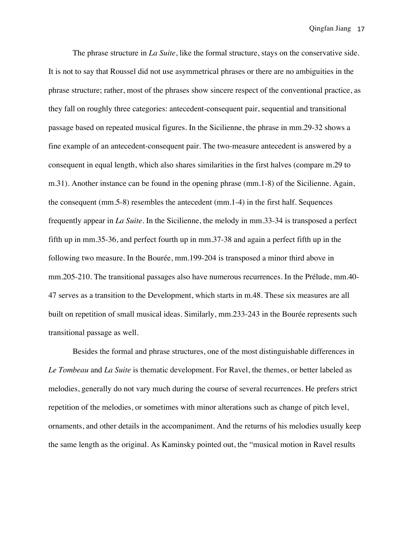The phrase structure in *La Suite*, like the formal structure, stays on the conservative side. It is not to say that Roussel did not use asymmetrical phrases or there are no ambiguities in the phrase structure; rather, most of the phrases show sincere respect of the conventional practice, as they fall on roughly three categories: antecedent-consequent pair, sequential and transitional passage based on repeated musical figures. In the Sicilienne, the phrase in mm.29-32 shows a fine example of an antecedent-consequent pair. The two-measure antecedent is answered by a consequent in equal length, which also shares similarities in the first halves (compare m.29 to m.31). Another instance can be found in the opening phrase (mm.1-8) of the Sicilienne. Again, the consequent (mm.5-8) resembles the antecedent (mm.1-4) in the first half. Sequences frequently appear in *La Suite*. In the Sicilienne, the melody in mm.33-34 is transposed a perfect fifth up in mm.35-36, and perfect fourth up in mm.37-38 and again a perfect fifth up in the following two measure. In the Bourée, mm.199-204 is transposed a minor third above in mm.205-210. The transitional passages also have numerous recurrences. In the Prélude, mm.40- 47 serves as a transition to the Development, which starts in m.48. These six measures are all built on repetition of small musical ideas. Similarly, mm.233-243 in the Bourée represents such transitional passage as well.

 Besides the formal and phrase structures, one of the most distinguishable differences in *Le Tombeau* and *La Suite* is thematic development. For Ravel, the themes, or better labeled as melodies, generally do not vary much during the course of several recurrences. He prefers strict repetition of the melodies, or sometimes with minor alterations such as change of pitch level, ornaments, and other details in the accompaniment. And the returns of his melodies usually keep the same length as the original. As Kaminsky pointed out, the "musical motion in Ravel results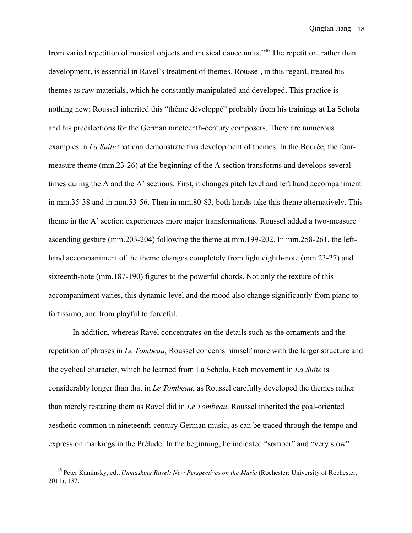from varied repetition of musical objects and musical dance units."46 The repetition, rather than development, is essential in Ravel's treatment of themes. Roussel, in this regard, treated his themes as raw materials, which he constantly manipulated and developed. This practice is nothing new; Roussel inherited this "thème développé" probably from his trainings at La Schola and his predilections for the German nineteenth-century composers. There are numerous examples in *La Suite* that can demonstrate this development of themes. In the Bourée, the fourmeasure theme (mm.23-26) at the beginning of the A section transforms and develops several times during the A and the A' sections. First, it changes pitch level and left hand accompaniment in mm.35-38 and in mm.53-56. Then in mm.80-83, both hands take this theme alternatively. This theme in the A' section experiences more major transformations. Roussel added a two-measure ascending gesture (mm.203-204) following the theme at mm.199-202. In mm.258-261, the lefthand accompaniment of the theme changes completely from light eighth-note (mm.23-27) and sixteenth-note (mm.187-190) figures to the powerful chords. Not only the texture of this accompaniment varies, this dynamic level and the mood also change significantly from piano to fortissimo, and from playful to forceful.

 In addition, whereas Ravel concentrates on the details such as the ornaments and the repetition of phrases in *Le Tombeau*, Roussel concerns himself more with the larger structure and the cyclical character, which he learned from La Schola. Each movement in *La Suite* is considerably longer than that in *Le Tombeau*, as Roussel carefully developed the themes rather than merely restating them as Ravel did in *Le Tombeau*. Roussel inherited the goal-oriented aesthetic common in nineteenth-century German music, as can be traced through the tempo and expression markings in the Prélude. In the beginning, he indicated "somber" and "very slow"

<sup>46</sup> Peter Kaminsky, ed., *Unmasking Ravel: New Perspectives on the Music* (Rochester: University of Rochester, 2011), 137.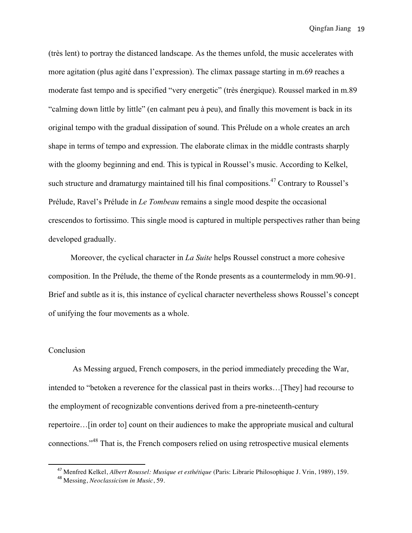(très lent) to portray the distanced landscape. As the themes unfold, the music accelerates with more agitation (plus agité dans l'expression). The climax passage starting in m.69 reaches a moderate fast tempo and is specified "very energetic" (très énergique). Roussel marked in m.89 "calming down little by little" (en calmant peu à peu), and finally this movement is back in its original tempo with the gradual dissipation of sound. This Prélude on a whole creates an arch shape in terms of tempo and expression. The elaborate climax in the middle contrasts sharply with the gloomy beginning and end. This is typical in Roussel's music. According to Kelkel, such structure and dramaturgy maintained till his final compositions.<sup>47</sup> Contrary to Roussel's Prélude, Ravel's Prélude in *Le Tombeau* remains a single mood despite the occasional crescendos to fortissimo. This single mood is captured in multiple perspectives rather than being developed gradually.

 Moreover, the cyclical character in *La Suite* helps Roussel construct a more cohesive composition. In the Prélude, the theme of the Ronde presents as a countermelody in mm.90-91. Brief and subtle as it is, this instance of cyclical character nevertheless shows Roussel's concept of unifying the four movements as a whole.

#### Conclusion

 As Messing argued, French composers, in the period immediately preceding the War, intended to "betoken a reverence for the classical past in theirs works…[They] had recourse to the employment of recognizable conventions derived from a pre-nineteenth-century repertoire…[in order to] count on their audiences to make the appropriate musical and cultural connections."<sup>48</sup> That is, the French composers relied on using retrospective musical elements

<sup>&</sup>lt;sup>47</sup> Menfred Kelkel, *Albert Roussel: Musique et esthétique* (Paris: Librarie Philosophique J. Vrin, 1989), 159.<br><sup>48</sup> Messing, *Neoclassicism in Music*, 59.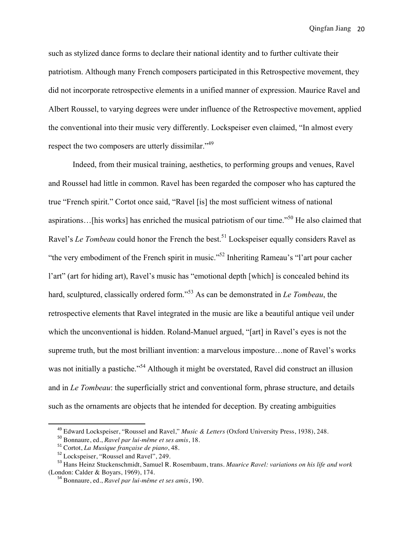such as stylized dance forms to declare their national identity and to further cultivate their patriotism. Although many French composers participated in this Retrospective movement, they did not incorporate retrospective elements in a unified manner of expression. Maurice Ravel and Albert Roussel, to varying degrees were under influence of the Retrospective movement, applied the conventional into their music very differently. Lockspeiser even claimed, "In almost every respect the two composers are utterly dissimilar."<sup>49</sup>

 Indeed, from their musical training, aesthetics, to performing groups and venues, Ravel and Roussel had little in common. Ravel has been regarded the composer who has captured the true "French spirit." Cortot once said, "Ravel [is] the most sufficient witness of national aspirations…[his works] has enriched the musical patriotism of our time."<sup>50</sup> He also claimed that Ravel's *Le Tombeau* could honor the French the best. <sup>51</sup> Lockspeiser equally considers Ravel as "the very embodiment of the French spirit in music."52 Inheriting Rameau's "l'art pour cacher l'art" (art for hiding art), Ravel's music has "emotional depth [which] is concealed behind its hard, sculptured, classically ordered form."<sup>53</sup> As can be demonstrated in *Le Tombeau*, the retrospective elements that Ravel integrated in the music are like a beautiful antique veil under which the unconventional is hidden. Roland-Manuel argued, "[art] in Ravel's eyes is not the supreme truth, but the most brilliant invention: a marvelous imposture…none of Ravel's works was not initially a pastiche."<sup>54</sup> Although it might be overstated, Ravel did construct an illusion and in *Le Tombeau*: the superficially strict and conventional form, phrase structure, and details such as the ornaments are objects that he intended for deception. By creating ambiguities

<sup>&</sup>lt;sup>49</sup> Edward Lockspeiser, "Roussel and Ravel," *Music & Letters* (Oxford University Press, 1938), 248.<br><sup>50</sup> Bonnaure, ed., *Ravel par lui-même et ses amis*, 18.<br><sup>51</sup> Cortot, *La Musique française de piano*, 48.<br><sup>52</sup> Locksp

<sup>&</sup>lt;sup>54</sup> Bonnaure, ed., *Ravel par lui-même et ses amis*, 190.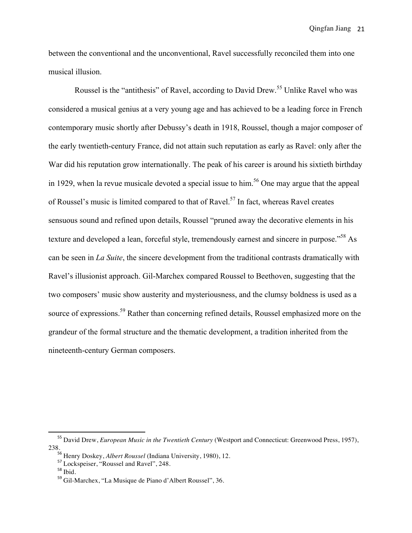between the conventional and the unconventional, Ravel successfully reconciled them into one musical illusion.

Roussel is the "antithesis" of Ravel, according to David Drew.<sup>55</sup> Unlike Ravel who was considered a musical genius at a very young age and has achieved to be a leading force in French contemporary music shortly after Debussy's death in 1918, Roussel, though a major composer of the early twentieth-century France, did not attain such reputation as early as Ravel: only after the War did his reputation grow internationally. The peak of his career is around his sixtieth birthday in 1929, when la revue musicale devoted a special issue to him.<sup>56</sup> One may argue that the appeal of Roussel's music is limited compared to that of Ravel.<sup>57</sup> In fact, whereas Ravel creates sensuous sound and refined upon details, Roussel "pruned away the decorative elements in his texture and developed a lean, forceful style, tremendously earnest and sincere in purpose."58 As can be seen in *La Suite*, the sincere development from the traditional contrasts dramatically with Ravel's illusionist approach. Gil-Marchex compared Roussel to Beethoven, suggesting that the two composers' music show austerity and mysteriousness, and the clumsy boldness is used as a source of expressions.<sup>59</sup> Rather than concerning refined details, Roussel emphasized more on the grandeur of the formal structure and the thematic development, a tradition inherited from the nineteenth-century German composers.

<sup>55</sup> David Drew, *European Music in the Twentieth Century* (Westport and Connecticut: Greenwood Press, 1957), 238.<br><sup>56</sup> Henry Doskey, *Albert Roussel* (Indiana University, 1980), 12.<br><sup>57</sup> Lockspeiser, "Roussel and Ravel", 248.<br><sup>58</sup> Gil-Marchex, "La Musique de Piano d'Albert Roussel", 36.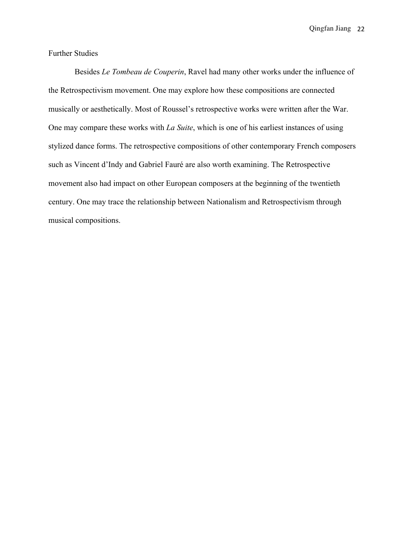## Further Studies

 Besides *Le Tombeau de Couperin*, Ravel had many other works under the influence of the Retrospectivism movement. One may explore how these compositions are connected musically or aesthetically. Most of Roussel's retrospective works were written after the War. One may compare these works with *La Suite*, which is one of his earliest instances of using stylized dance forms. The retrospective compositions of other contemporary French composers such as Vincent d'Indy and Gabriel Fauré are also worth examining. The Retrospective movement also had impact on other European composers at the beginning of the twentieth century. One may trace the relationship between Nationalism and Retrospectivism through musical compositions.